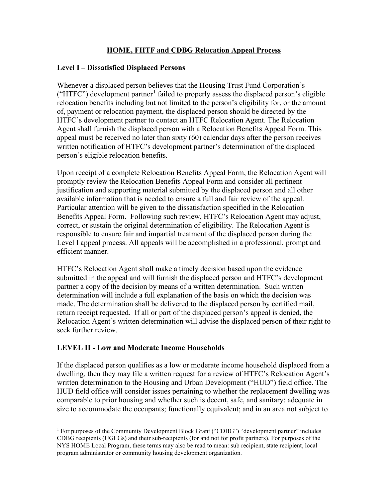## **HOME, FHTF and CDBG Relocation Appeal Process**

### **Level I – Dissatisfied Displaced Persons**

Whenever a displaced person believes that the Housing Trust Fund Corporation's ("HTFC") development partner<sup>[1](#page-0-0)</sup> failed to properly assess the displaced person's eligible relocation benefits including but not limited to the person's eligibility for, or the amount of, payment or relocation payment, the displaced person should be directed by the HTFC's development partner to contact an HTFC Relocation Agent. The Relocation Agent shall furnish the displaced person with a Relocation Benefits Appeal Form. This appeal must be received no later than sixty (60) calendar days after the person receives written notification of HTFC's development partner's determination of the displaced person's eligible relocation benefits.

Upon receipt of a complete Relocation Benefits Appeal Form, the Relocation Agent will promptly review the Relocation Benefits Appeal Form and consider all pertinent justification and supporting material submitted by the displaced person and all other available information that is needed to ensure a full and fair review of the appeal. Particular attention will be given to the dissatisfaction specified in the Relocation Benefits Appeal Form. Following such review, HTFC's Relocation Agent may adjust, correct, or sustain the original determination of eligibility. The Relocation Agent is responsible to ensure fair and impartial treatment of the displaced person during the Level I appeal process. All appeals will be accomplished in a professional, prompt and efficient manner.

HTFC's Relocation Agent shall make a timely decision based upon the evidence submitted in the appeal and will furnish the displaced person and HTFC's development partner a copy of the decision by means of a written determination. Such written determination will include a full explanation of the basis on which the decision was made. The determination shall be delivered to the displaced person by certified mail, return receipt requested. If all or part of the displaced person's appeal is denied, the Relocation Agent's written determination will advise the displaced person of their right to seek further review.

# **LEVEL II - Low and Moderate Income Households**

If the displaced person qualifies as a low or moderate income household displaced from a dwelling, then they may file a written request for a review of HTFC's Relocation Agent's written determination to the Housing and Urban Development ("HUD") field office. The HUD field office will consider issues pertaining to whether the replacement dwelling was comparable to prior housing and whether such is decent, safe, and sanitary; adequate in size to accommodate the occupants; functionally equivalent; and in an area not subject to

<span id="page-0-0"></span><sup>&</sup>lt;sup>1</sup> For purposes of the Community Development Block Grant ("CDBG") "development partner" includes CDBG recipients (UGLGs) and their sub-recipients (for and not for profit partners). For purposes of the NYS HOME Local Program, these terms may also be read to mean: sub recipient, state recipient, local program administrator or community housing development organization.